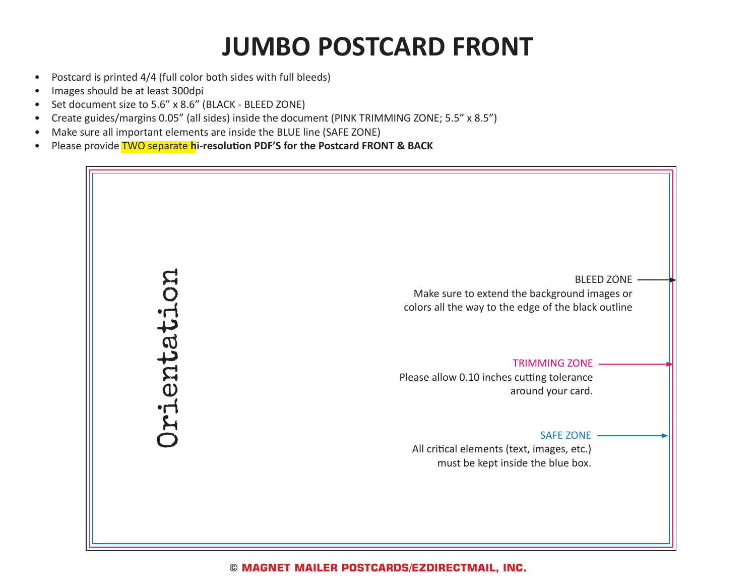## **JUMBO POSTCARD FRONT**

- Postcard is printed 4/4 (full color both sides with full bleeds)
- Images should be at least 300dpi
- Set document size to 5.6" x 8.6" (BLACK BLEED ZONE)
- Create guides/margins 0.05" (all sides) inside the document (PINK TRIMMING ZONE; 5.5" x 8.5")
- Make sure all important elements are inside the BLUE line (SAFE ZONE)
- Please provide TWO separate **hi-resolution PDF'S for the Postcard FRONT & BACK**